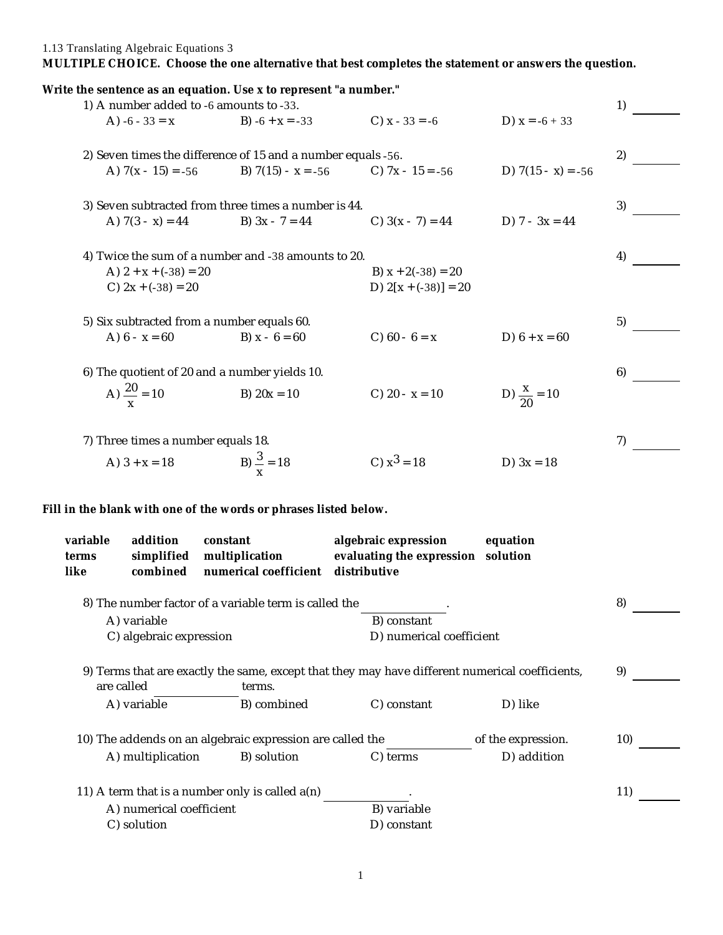1.13 Translating Algebraic Equations 3

**MULTIPLE CHOICE. Choose the one alternative that best completes the statement or answers the question.**

|                                                                                                                         |                                                 | Write the sentence as an equation. Use x to represent "a number."<br>1) A number added to -6 amounts to -33. |                                                                   |                        | 1) |  |  |
|-------------------------------------------------------------------------------------------------------------------------|-------------------------------------------------|--------------------------------------------------------------------------------------------------------------|-------------------------------------------------------------------|------------------------|----|--|--|
|                                                                                                                         | A) $-6 - 33 = x$                                | B) $-6 + x = -33$                                                                                            | C) $x - 33 = -6$                                                  | D) $x = -6 + 33$       |    |  |  |
| 2) Seven times the difference of 15 and a number equals -56.                                                            |                                                 |                                                                                                              |                                                                   |                        |    |  |  |
|                                                                                                                         |                                                 | A) $7(x - 15) = -56$ B) $7(15) - x = -56$ C) $7x - 15 = -56$                                                 |                                                                   | D) $7(15 - x) = -56$   |    |  |  |
| 3) Seven subtracted from three times a number is 44.                                                                    |                                                 |                                                                                                              |                                                                   |                        |    |  |  |
|                                                                                                                         | A) $7(3 - x) = 44$                              | B) $3x - 7 = 44$ C) $3(x - 7) = 44$ D) $7 - 3x = 44$                                                         |                                                                   |                        |    |  |  |
| 4) Twice the sum of a number and -38 amounts to 20.                                                                     |                                                 |                                                                                                              |                                                                   |                        |    |  |  |
|                                                                                                                         | A) $2 + x + (-38) = 20$<br>C) $2x + (-38) = 20$ |                                                                                                              | B) $x + 2(-38) = 20$<br>D) $2[x + (-38)] = 20$                    |                        |    |  |  |
|                                                                                                                         | 5) Six subtracted from a number equals 60.      |                                                                                                              |                                                                   |                        |    |  |  |
|                                                                                                                         | A) $6 - x = 60$                                 | B) $x - 6 = 60$                                                                                              | C) $60 - 6 = x$                                                   | D) $6 + x = 60$        |    |  |  |
|                                                                                                                         |                                                 | 6) The quotient of 20 and a number yields 10.                                                                |                                                                   |                        | 6) |  |  |
|                                                                                                                         | A) $\frac{20}{x}$ = 10                          | B) $20x = 10$                                                                                                | C) $20 - x = 10$                                                  | D) $\frac{x}{20}$ = 10 |    |  |  |
| 7) Three times a number equals 18.                                                                                      |                                                 |                                                                                                              |                                                                   |                        |    |  |  |
|                                                                                                                         | A) $3 + x = 18$                                 | B) $\frac{3}{x}$ = 18                                                                                        | C) $x^3 = 18$                                                     | D) $3x = 18$           |    |  |  |
|                                                                                                                         |                                                 | Fill in the blank with one of the words or phrases listed below.                                             |                                                                   |                        |    |  |  |
| variable<br>terms<br>like                                                                                               | addition<br>simplified<br>combined              | constant<br>multiplication<br>numerical coefficient                                                          | algebraic expression<br>evaluating the expression<br>distributive | equation<br>solution   |    |  |  |
|                                                                                                                         |                                                 | 8) The number factor of a variable term is called the                                                        |                                                                   |                        | 8) |  |  |
| B) constant<br>A) variable<br>C) algebraic expression<br>D) numerical coefficient                                       |                                                 |                                                                                                              |                                                                   |                        |    |  |  |
| 9) Terms that are exactly the same, except that they may have different numerical coefficients,<br>are called<br>terms. |                                                 |                                                                                                              |                                                                   |                        |    |  |  |
|                                                                                                                         | A) variable                                     | B) combined                                                                                                  | C) constant                                                       | D) like                |    |  |  |
| 10) The addends on an algebraic expression are called the<br>of the expression.                                         |                                                 |                                                                                                              |                                                                   |                        |    |  |  |
|                                                                                                                         | A) multiplication                               | B) solution                                                                                                  | C) terms                                                          | D) addition            |    |  |  |
| 11) A term that is a number only is called $a(n)$                                                                       |                                                 |                                                                                                              |                                                                   |                        |    |  |  |
| B) variable<br>A) numerical coefficient<br>C) solution<br>D) constant                                                   |                                                 |                                                                                                              |                                                                   |                        |    |  |  |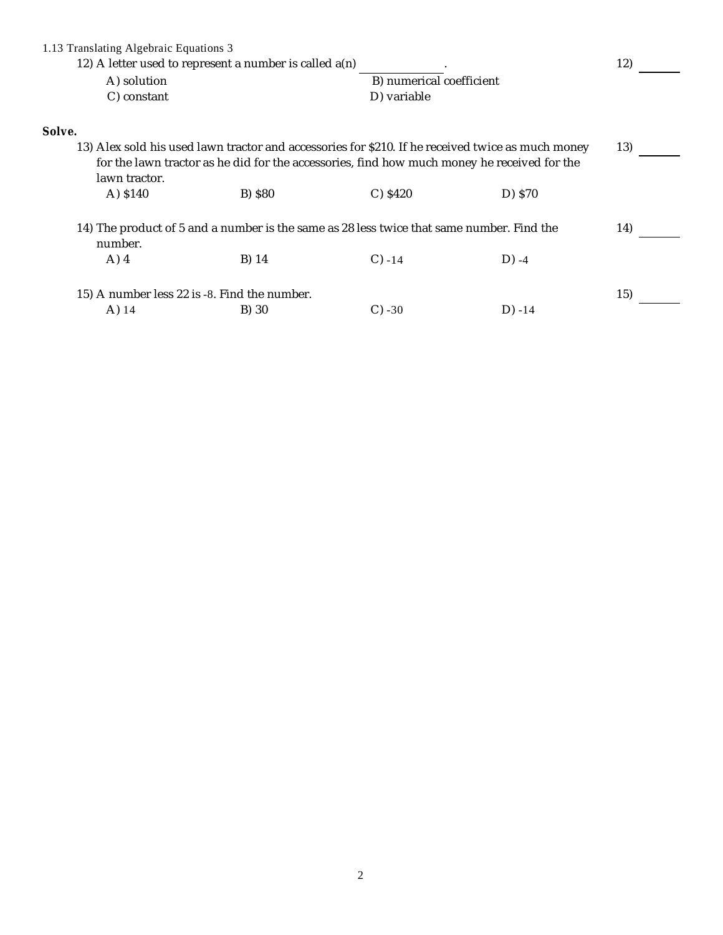| 1.13 Translating Algebraic Equations 3<br>12) A letter used to represent a number is called $a(n)$   |                                                                                                              |         |             |                          |  |  |  |
|------------------------------------------------------------------------------------------------------|--------------------------------------------------------------------------------------------------------------|---------|-------------|--------------------------|--|--|--|
| A) solution<br>C) constant                                                                           |                                                                                                              |         |             | B) numerical coefficient |  |  |  |
|                                                                                                      |                                                                                                              |         | D) variable |                          |  |  |  |
| Solve.                                                                                               |                                                                                                              |         |             |                          |  |  |  |
| 13) Alex sold his used lawn tractor and accessories for \$210. If he received twice as much money    |                                                                                                              |         |             |                          |  |  |  |
|                                                                                                      | for the lawn tractor as he did for the accessories, find how much money he received for the<br>lawn tractor. |         |             |                          |  |  |  |
|                                                                                                      | A) \$140                                                                                                     | B) \$80 | $C$ ) \$420 | D) \$70                  |  |  |  |
| 14) The product of 5 and a number is the same as 28 less twice that same number. Find the<br>number. |                                                                                                              |         |             |                          |  |  |  |
|                                                                                                      | $A)$ 4                                                                                                       | B) 14   | $C) -14$    | $D) -4$                  |  |  |  |
| 15) A number less 22 is -8. Find the number.                                                         |                                                                                                              |         |             |                          |  |  |  |
|                                                                                                      | $A)$ 14                                                                                                      | B) 30   | $C$ ) -30   | $D) -14$                 |  |  |  |